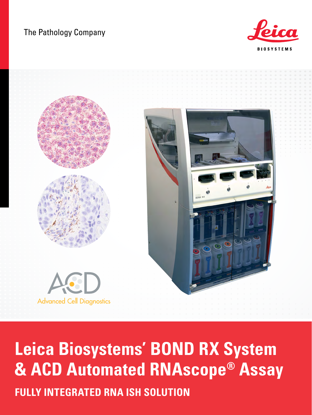### The Pathology Company





# **Leica Biosystems' BOND RX System & ACD Automated RNAscope® Assay FULLY INTEGRATED RNA ISH SOLUTION**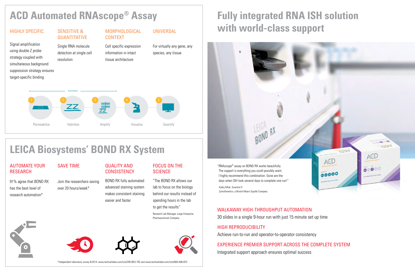## SAVE TIME

Signal amplification using double Z probe strategy coupled with simultaneous background suppression strategy ensures target-specific binding

> Join the researchers saving over 20 hours/week\*

#### SENSITIVE & **QUANTITATIVE**

#### AUTOMATE YOUR RESEARCH

91% agree that BOND RX has the best level of research automation\*

#### QUALITY AND **CONSISTENCY**

Single RNA molecule detection at single cell resolution

### FOCUS ON THE **SCIENCE** "The BOND RX allows our

lab to focus on the biology behind our results instead of spending hours in the lab to get the results"

Research Lab Manager, Large Enterprise Pharmaceuticals Company









BOND RX fully automated advanced staining system makes consistent staining easier and faster

#### MORPHOLOGICAL CONTEXT

Cell specific expression information in intact tissue architecture

UNIVERSAL

For virtually any gene, any species, any tissue

## **ACD Automated RNAscope® Assay**

### HIGHLY SPECIFIC

\*Independent laboratory survey 8/2014: [www.techvalidate.com/tvid/295-BD2-79C](http://www.techvalidate.com/tvid/295-BD2-79C) and [www.techvalidate.com/tvid/669-A96-B75](http://www.techvalidate.com/tvid/669-A96-B75)



#### **LEICA Biosystems' BOND RX System**  $\blacksquare$ color labels.

## **Fully integrated RNA ISH solution with world-class support**

### WALKAWAY HIGH-THROUGHPUT AUTOMATION

30 slides in a single 9-hour run with just 15 minute set up time

#### HIGH REPRODUCIBILITY

Achieve run-to-run and operator-to-operator consistency

#### EXPERIENCE PREMIER SUPPORT ACROSS THE COMPLETE SYSTEM

Integrated support approach ensures optimal success

cells are fixed onto with RNAscope®

Probes each with double-Z probe pairs represents single target

visualized with

are quantified on a manual counting or



Reagents amplify sequential hybridization